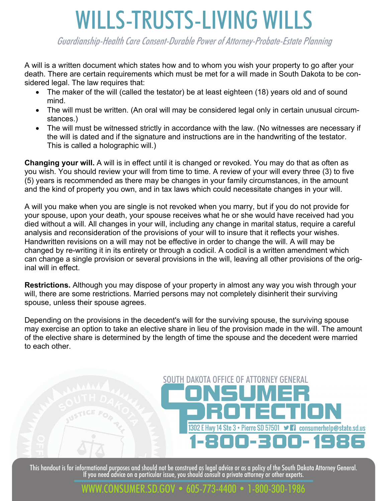# WILLS-TRUSTS-LIVING WILLS

Guardianship-Health Care Consent-Durable Power of Attorney-Probate-Estate Planning

A will is a written document which states how and to whom you wish your property to go after your death. There are certain requirements which must be met for a will made in South Dakota to be considered legal. The law requires that:

- The maker of the will (called the testator) be at least eighteen (18) years old and of sound mind.
- The will must be written. (An oral will may be considered legal only in certain unusual circumstances.)
- The will must be witnessed strictly in accordance with the law. (No witnesses are necessary if the will is dated and if the signature and instructions are in the handwriting of the testator. This is called a holographic will.)

**Changing your will.** A will is in effect until it is changed or revoked. You may do that as often as you wish. You should review your will from time to time. A review of your will every three (3) to five (5) years is recommended as there may be changes in your family circumstances, in the amount and the kind of property you own, and in tax laws which could necessitate changes in your will.

A will you make when you are single is not revoked when you marry, but if you do not provide for your spouse, upon your death, your spouse receives what he or she would have received had you died without a will. All changes in your will, including any change in marital status, require a careful analysis and reconsideration of the provisions of your will to insure that it reflects your wishes. Handwritten revisions on a will may not be effective in order to change the will. A will may be changed by re-writing it in its entirety or through a codicil. A codicil is a written amendment which can change a single provision or several provisions in the will, leaving all other provisions of the original will in effect.

**Restrictions.** Although you may dispose of your property in almost any way you wish through your will, there are some restrictions. Married persons may not completely disinherit their surviving spouse, unless their spouse agrees.

Depending on the provisions in the decedent's will for the surviving spouse, the surviving spouse may exercise an option to take an elective share in lieu of the provision made in the will. The amount of the elective share is determined by the length of time the spouse and the decedent were married to each other.

## SOUTH DAKOTA OFFICE OF ATTORNEY GENERAL 1302 E Hwy 14 Ste 3 • Pierre SD 57501 ■ Consumerhelp@state.sd.us 00 E E I 00- 1986

This handout is for informational purposes and should not be construed as legal advice or as a policy of the South Dakota Attorney General.<br>If you need advice on a particular issue, you should consult a private attorney or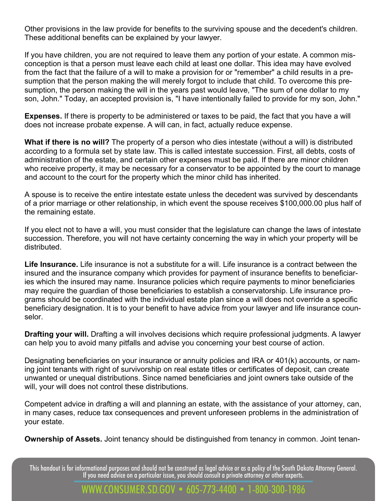Other provisions in the law provide for benefits to the surviving spouse and the decedent's children. These additional benefits can be explained by your lawyer.

If you have children, you are not required to leave them any portion of your estate. A common misconception is that a person must leave each child at least one dollar. This idea may have evolved from the fact that the failure of a will to make a provision for or "remember" a child results in a presumption that the person making the will merely forgot to include that child. To overcome this presumption, the person making the will in the years past would leave, "The sum of one dollar to my son, John." Today, an accepted provision is, "I have intentionally failed to provide for my son, John."

**Expenses.** If there is property to be administered or taxes to be paid, the fact that you have a will does not increase probate expense. A will can, in fact, actually reduce expense.

**What if there is no will?** The property of a person who dies intestate (without a will) is distributed according to a formula set by state law. This is called intestate succession. First, all debts, costs of administration of the estate, and certain other expenses must be paid. If there are minor children who receive property, it may be necessary for a conservator to be appointed by the court to manage and account to the court for the property which the minor child has inherited.

A spouse is to receive the entire intestate estate unless the decedent was survived by descendants of a prior marriage or other relationship, in which event the spouse receives \$100,000.00 plus half of the remaining estate.

If you elect not to have a will, you must consider that the legislature can change the laws of intestate succession. Therefore, you will not have certainty concerning the way in which your property will be distributed.

**Life Insurance.** Life insurance is not a substitute for a will. Life insurance is a contract between the insured and the insurance company which provides for payment of insurance benefits to beneficiaries which the insured may name. Insurance policies which require payments to minor beneficiaries may require the guardian of those beneficiaries to establish a conservatorship. Life insurance programs should be coordinated with the individual estate plan since a will does not override a specific beneficiary designation. It is to your benefit to have advice from your lawyer and life insurance counselor.

**Drafting your will.** Drafting a will involves decisions which require professional judgments. A lawyer can help you to avoid many pitfalls and advise you concerning your best course of action.

Designating beneficiaries on your insurance or annuity policies and IRA or 401(k) accounts, or naming joint tenants with right of survivorship on real estate titles or certificates of deposit, can create unwanted or unequal distributions. Since named beneficiaries and joint owners take outside of the will, your will does not control these distributions.

Competent advice in drafting a will and planning an estate, with the assistance of your attorney, can, in many cases, reduce tax consequences and prevent unforeseen problems in the administration of your estate.

**Ownership of Assets.** Joint tenancy should be distinguished from tenancy in common. Joint tenan-

This handout is for informational purposes and should not be construed as legal advice or as a policy of the South Dakota Attorney General.<br>If you need advice on a particular issue, you should consult a private attorney or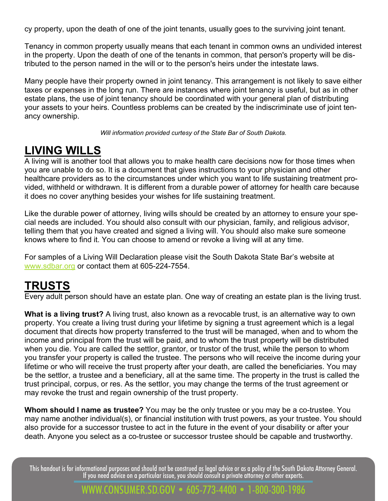cy property, upon the death of one of the joint tenants, usually goes to the surviving joint tenant.

Tenancy in common property usually means that each tenant in common owns an undivided interest in the property. Upon the death of one of the tenants in common, that person's property will be distributed to the person named in the will or to the person's heirs under the intestate laws.

Many people have their property owned in joint tenancy. This arrangement is not likely to save either taxes or expenses in the long run. There are instances where joint tenancy is useful, but as in other estate plans, the use of joint tenancy should be coordinated with your general plan of distributing your assets to your heirs. Countless problems can be created by the indiscriminate use of joint tenancy ownership.

*Will information provided curtesy of the State Bar of South Dakota.* 

## **LIVING WILLS**

A living will is another tool that allows you to make health care decisions now for those times when you are unable to do so. It is a document that gives instructions to your physician and other healthcare providers as to the circumstances under which you want to life sustaining treatment provided, withheld or withdrawn. It is different from a durable power of attorney for health care because it does no cover anything besides your wishes for life sustaining treatment.

Like the durable power of attorney, living wills should be created by an attorney to ensure your special needs are included. You should also consult with our physician, family, and religious advisor, telling them that you have created and signed a living will. You should also make sure someone knows where to find it. You can choose to amend or revoke a living will at any time.

For samples of a Living Will Declaration please visit the South Dakota State Bar's website at www.sdbar.org or contact them at 605-224-7554.

## **TRUSTS**

Every adult person should have an estate plan. One way of creating an estate plan is the living trust.

**What is a living trust?** A living trust, also known as a revocable trust, is an alternative way to own property. You create a living trust during your lifetime by signing a trust agreement which is a legal document that directs how property transferred to the trust will be managed, when and to whom the income and principal from the trust will be paid, and to whom the trust property will be distributed when you die. You are called the settlor, grantor, or trustor of the trust, while the person to whom you transfer your property is called the trustee. The persons who will receive the income during your lifetime or who will receive the trust property after your death, are called the beneficiaries. You may be the settlor, a trustee and a beneficiary, all at the same time. The property in the trust is called the trust principal, corpus, or res. As the settlor, you may change the terms of the trust agreement or may revoke the trust and regain ownership of the trust property.

**Whom should I name as trustee?** You may be the only trustee or you may be a co-trustee. You may name another individual(s), or financial institution with trust powers, as your trustee. You should also provide for a successor trustee to act in the future in the event of your disability or after your death. Anyone you select as a co-trustee or successor trustee should be capable and trustworthy.

This handout is for informational purposes and should not be construed as legal advice or as a policy of the South Dakota Attorney General.<br>If you need advice on a particular issue, you should consult a private attorney or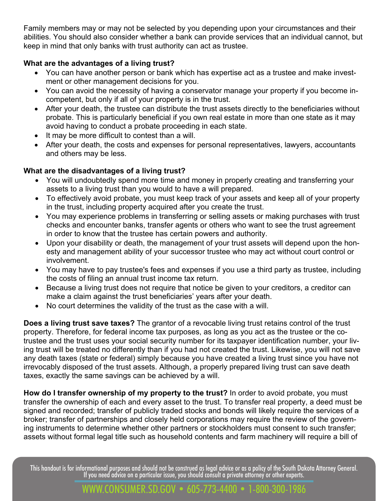Family members may or may not be selected by you depending upon your circumstances and their abilities. You should also consider whether a bank can provide services that an individual cannot, but keep in mind that only banks with trust authority can act as trustee.

#### **What are the advantages of a living trust?**

- You can have another person or bank which has expertise act as a trustee and make investment or other management decisions for you.
- You can avoid the necessity of having a conservator manage your property if you become incompetent, but only if all of your property is in the trust.
- After your death, the trustee can distribute the trust assets directly to the beneficiaries without probate. This is particularly beneficial if you own real estate in more than one state as it may avoid having to conduct a probate proceeding in each state.
- It may be more difficult to contest than a will.
- After your death, the costs and expenses for personal representatives, lawyers, accountants and others may be less.

#### **What are the disadvantages of a living trust?**

- You will undoubtedly spend more time and money in properly creating and transferring your assets to a living trust than you would to have a will prepared.
- To effectively avoid probate, you must keep track of your assets and keep all of your property in the trust, including property acquired after you create the trust.
- You may experience problems in transferring or selling assets or making purchases with trust checks and encounter banks, transfer agents or others who want to see the trust agreement in order to know that the trustee has certain powers and authority.
- Upon your disability or death, the management of your trust assets will depend upon the honesty and management ability of your successor trustee who may act without court control or involvement.
- You may have to pay trustee's fees and expenses if you use a third party as trustee, including the costs of filing an annual trust income tax return.
- Because a living trust does not require that notice be given to your creditors, a creditor can make a claim against the trust beneficiaries' years after your death.
- No court determines the validity of the trust as the case with a will.

**Does a living trust save taxes?** The grantor of a revocable living trust retains control of the trust property. Therefore, for federal income tax purposes, as long as you act as the trustee or the cotrustee and the trust uses your social security number for its taxpayer identification number, your living trust will be treated no differently than if you had not created the trust. Likewise, you will not save any death taxes (state or federal) simply because you have created a living trust since you have not irrevocably disposed of the trust assets. Although, a properly prepared living trust can save death taxes, exactly the same savings can be achieved by a will.

**How do I transfer ownership of my property to the trust?** In order to avoid probate, you must transfer the ownership of each and every asset to the trust. To transfer real property, a deed must be signed and recorded; transfer of publicly traded stocks and bonds will likely require the services of a broker; transfer of partnerships and closely held corporations may require the review of the governing instruments to determine whether other partners or stockholders must consent to such transfer; assets without formal legal title such as household contents and farm machinery will require a bill of

This handout is for informational purposes and should not be construed as legal advice or as a policy of the South Dakota Attorney General.<br>If you need advice on a particular issue, you should consult a private attorney or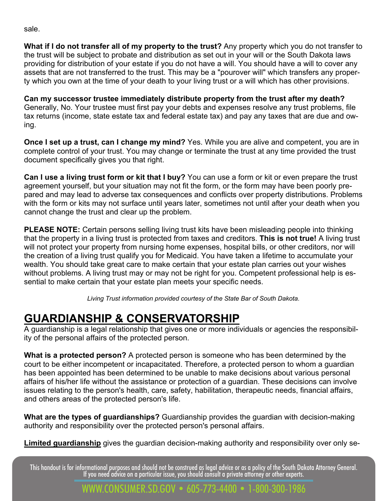sale.

**What if I do not transfer all of my property to the trust?** Any property which you do not transfer to the trust will be subject to probate and distribution as set out in your will or the South Dakota laws providing for distribution of your estate if you do not have a will. You should have a will to cover any assets that are not transferred to the trust. This may be a "pourover will" which transfers any property which you own at the time of your death to your living trust or a will which has other provisions.

**Can my successor trustee immediately distribute property from the trust after my death?**  Generally, No. Your trustee must first pay your debts and expenses resolve any trust problems, file tax returns (income, state estate tax and federal estate tax) and pay any taxes that are due and owing.

**Once I set up a trust, can I change my mind?** Yes. While you are alive and competent, you are in complete control of your trust. You may change or terminate the trust at any time provided the trust document specifically gives you that right.

**Can I use a living trust form or kit that I buy?** You can use a form or kit or even prepare the trust agreement yourself, but your situation may not fit the form, or the form may have been poorly prepared and may lead to adverse tax consequences and conflicts over property distributions. Problems with the form or kits may not surface until years later, sometimes not until after your death when you cannot change the trust and clear up the problem.

**PLEASE NOTE:** Certain persons selling living trust kits have been misleading people into thinking that the property in a living trust is protected from taxes and creditors. **This is not true!** A living trust will not protect your property from nursing home expenses, hospital bills, or other creditors, nor will the creation of a living trust qualify you for Medicaid. You have taken a lifetime to accumulate your wealth. You should take great care to make certain that your estate plan carries out your wishes without problems. A living trust may or may not be right for you. Competent professional help is essential to make certain that your estate plan meets your specific needs.

*Living Trust information provided courtesy of the State Bar of South Dakota.* 

## **GUARDIANSHIP & CONSERVATORSHIP**

A guardianship is a legal relationship that gives one or more individuals or agencies the responsibility of the personal affairs of the protected person.

**What is a protected person?** A protected person is someone who has been determined by the court to be either incompetent or incapacitated. Therefore, a protected person to whom a guardian has been appointed has been determined to be unable to make decisions about various personal affairs of his/her life without the assistance or protection of a guardian. These decisions can involve issues relating to the person's health, care, safety, habilitation, therapeutic needs, financial affairs, and others areas of the protected person's life.

**What are the types of guardianships?** Guardianship provides the guardian with decision-making authority and responsibility over the protected person's personal affairs.

**Limited guardianship** gives the guardian decision-making authority and responsibility over only se-

This handout is for informational purposes and should not be construed as legal advice or as a policy of the South Dakota Attorney General.<br>If you need advice on a particular issue, you should consult a private attorney or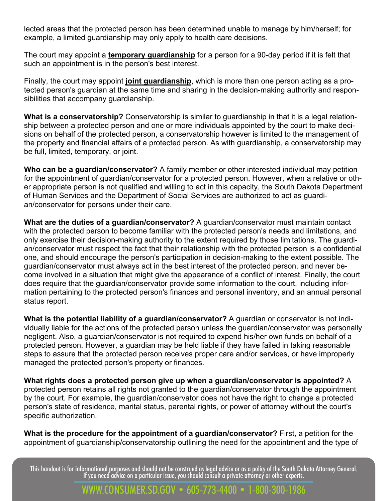lected areas that the protected person has been determined unable to manage by him/herself; for example, a limited guardianship may only apply to health care decisions.

The court may appoint a **temporary guardianship** for a person for a 90-day period if it is felt that such an appointment is in the person's best interest.

Finally, the court may appoint **joint guardianship**, which is more than one person acting as a protected person's guardian at the same time and sharing in the decision-making authority and responsibilities that accompany guardianship.

**What is a conservatorship?** Conservatorship is similar to guardianship in that it is a legal relationship between a protected person and one or more individuals appointed by the court to make decisions on behalf of the protected person, a conservatorship however is limited to the management of the property and financial affairs of a protected person. As with guardianship, a conservatorship may be full, limited, temporary, or joint.

**Who can be a guardian/conservator?** A family member or other interested individual may petition for the appointment of guardian/conservator for a protected person. However, when a relative or other appropriate person is not qualified and willing to act in this capacity, the South Dakota Department of Human Services and the Department of Social Services are authorized to act as guardian/conservator for persons under their care.

**What are the duties of a guardian/conservator?** A guardian/conservator must maintain contact with the protected person to become familiar with the protected person's needs and limitations, and only exercise their decision-making authority to the extent required by those limitations. The guardian/conservator must respect the fact that their relationship with the protected person is a confidential one, and should encourage the person's participation in decision-making to the extent possible. The guardian/conservator must always act in the best interest of the protected person, and never become involved in a situation that might give the appearance of a conflict of interest. Finally, the court does require that the guardian/conservator provide some information to the court, including information pertaining to the protected person's finances and personal inventory, and an annual personal status report.

**What is the potential liability of a guardian/conservator?** A guardian or conservator is not individually liable for the actions of the protected person unless the guardian/conservator was personally negligent. Also, a guardian/conservator is not required to expend his/her own funds on behalf of a protected person. However, a guardian may be held liable if they have failed in taking reasonable steps to assure that the protected person receives proper care and/or services, or have improperly managed the protected person's property or finances.

**What rights does a protected person give up when a guardian/conservator is appointed?** A protected person retains all rights not granted to the guardian/conservator through the appointment by the court. For example, the guardian/conservator does not have the right to change a protected person's state of residence, marital status, parental rights, or power of attorney without the court's specific authorization.

**What is the procedure for the appointment of a guardian/conservator?** First, a petition for the appointment of guardianship/conservatorship outlining the need for the appointment and the type of

This handout is for informational purposes and should not be construed as legal advice or as a policy of the South Dakota Attorney General.<br>If you need advice on a particular issue, you should consult a private attorney or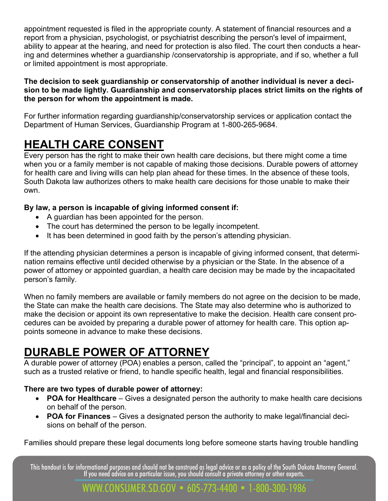appointment requested is filed in the appropriate county. A statement of financial resources and a report from a physician, psychologist, or psychiatrist describing the person's level of impairment, ability to appear at the hearing, and need for protection is also filed. The court then conducts a hearing and determines whether a guardianship /conservatorship is appropriate, and if so, whether a full or limited appointment is most appropriate.

#### **The decision to seek guardianship or conservatorship of another individual is never a decision to be made lightly. Guardianship and conservatorship places strict limits on the rights of the person for whom the appointment is made.**

For further information regarding guardianship/conservatorship services or application contact the Department of Human Services, Guardianship Program at 1-800-265-9684.

## **HEALTH CARE CONSENT**

Every person has the right to make their own health care decisions, but there might come a time when you or a family member is not capable of making those decisions. Durable powers of attorney for health care and living wills can help plan ahead for these times. In the absence of these tools, South Dakota law authorizes others to make health care decisions for those unable to make their own.

#### **By law, a person is incapable of giving informed consent if:**

- A guardian has been appointed for the person.
- The court has determined the person to be legally incompetent.
- It has been determined in good faith by the person's attending physician.

If the attending physician determines a person is incapable of giving informed consent, that determination remains effective until decided otherwise by a physician or the State. In the absence of a power of attorney or appointed guardian, a health care decision may be made by the incapacitated person's family.

When no family members are available or family members do not agree on the decision to be made, the State can make the health care decisions. The State may also determine who is authorized to make the decision or appoint its own representative to make the decision. Health care consent procedures can be avoided by preparing a durable power of attorney for health care. This option appoints someone in advance to make these decisions.

## **DURABLE POWER OF ATTORNEY**

A durable power of attorney (POA) enables a person, called the "principal", to appoint an "agent," such as a trusted relative or friend, to handle specific health, legal and financial responsibilities.

#### **There are two types of durable power of attorney:**

- **POA for Healthcare** Gives a designated person the authority to make health care decisions on behalf of the person.
- **POA for Finances** Gives a designated person the authority to make legal/financial decisions on behalf of the person.

Families should prepare these legal documents long before someone starts having trouble handling

This handout is for informational purposes and should not be construed as legal advice or as a policy of the South Dakota Attorney General.<br>If you need advice on a particular issue, you should consult a private attorney or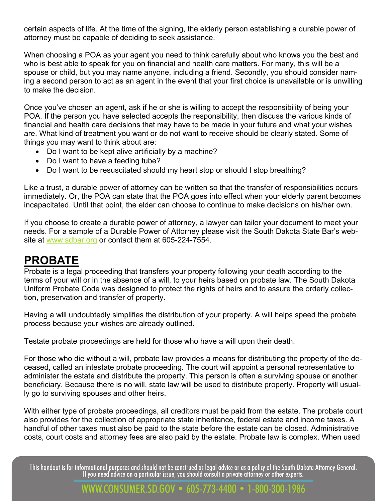certain aspects of life. At the time of the signing, the elderly person establishing a durable power of attorney must be capable of deciding to seek assistance.

When choosing a POA as your agent you need to think carefully about who knows you the best and who is best able to speak for you on financial and health care matters. For many, this will be a spouse or child, but you may name anyone, including a friend. Secondly, you should consider naming a second person to act as an agent in the event that your first choice is unavailable or is unwilling to make the decision.

Once you've chosen an agent, ask if he or she is willing to accept the responsibility of being your POA. If the person you have selected accepts the responsibility, then discuss the various kinds of financial and health care decisions that may have to be made in your future and what your wishes are. What kind of treatment you want or do not want to receive should be clearly stated. Some of things you may want to think about are:

- Do I want to be kept alive artificially by a machine?
- Do I want to have a feeding tube?
- Do I want to be resuscitated should my heart stop or should I stop breathing?

Like a trust, a durable power of attorney can be written so that the transfer of responsibilities occurs immediately. Or, the POA can state that the POA goes into effect when your elderly parent becomes incapacitated. Until that point, the elder can choose to continue to make decisions on his/her own.

If you choose to create a durable power of attorney, a lawyer can tailor your document to meet your needs. For a sample of a Durable Power of Attorney please visit the South Dakota State Bar's website at www.sdbar.org or contact them at 605-224-7554.

## **PROBATE**

Probate is a legal proceeding that transfers your property following your death according to the terms of your will or in the absence of a will, to your heirs based on probate law. The South Dakota Uniform Probate Code was designed to protect the rights of heirs and to assure the orderly collection, preservation and transfer of property.

Having a will undoubtedly simplifies the distribution of your property. A will helps speed the probate process because your wishes are already outlined.

Testate probate proceedings are held for those who have a will upon their death.

For those who die without a will, probate law provides a means for distributing the property of the deceased, called an intestate probate proceeding. The court will appoint a personal representative to administer the estate and distribute the property. This person is often a surviving spouse or another beneficiary. Because there is no will, state law will be used to distribute property. Property will usually go to surviving spouses and other heirs.

With either type of probate proceedings, all creditors must be paid from the estate. The probate court also provides for the collection of appropriate state inheritance, federal estate and income taxes. A handful of other taxes must also be paid to the state before the estate can be closed. Administrative costs, court costs and attorney fees are also paid by the estate. Probate law is complex. When used

This handout is for informational purposes and should not be construed as legal advice or as a policy of the South Dakota Attorney General.<br>If you need advice on a particular issue, you should consult a private attorney or